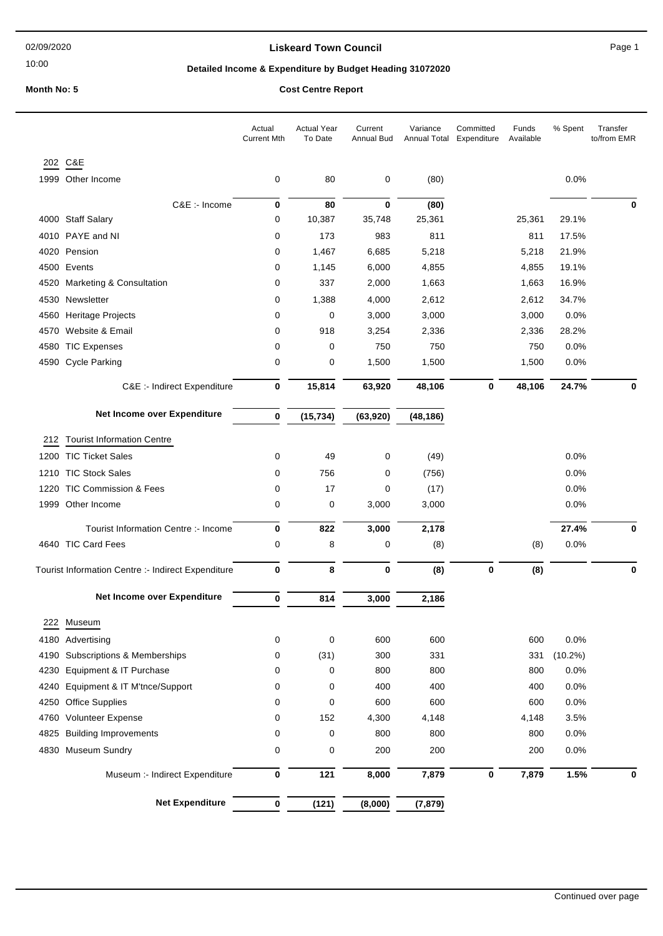10:00

### **Liskeard Town Council Canadian Council** Page 1

# **Detailed Income & Expenditure by Budget Heading 31072020**

### **Month No: 5 Cost Centre Report**

|      |                                                    | Actual<br><b>Current Mth</b> | <b>Actual Year</b><br>To Date | Current<br>Annual Bud | Variance<br>Annual Total | Committed<br>Expenditure | Funds<br>Available | % Spent    | Transfer<br>to/from EMR |
|------|----------------------------------------------------|------------------------------|-------------------------------|-----------------------|--------------------------|--------------------------|--------------------|------------|-------------------------|
|      | 202 C&E                                            |                              |                               |                       |                          |                          |                    |            |                         |
|      | 1999 Other Income                                  | 0                            | 80                            | 0                     | (80)                     |                          |                    | 0.0%       |                         |
|      | C&E :- Income                                      | 0                            | 80                            | $\bf{0}$              | (80)                     |                          |                    |            | 0                       |
|      | 4000 Staff Salary                                  | 0                            | 10,387                        | 35,748                | 25,361                   |                          | 25,361             | 29.1%      |                         |
|      | 4010 PAYE and NI                                   | 0                            | 173                           | 983                   | 811                      |                          | 811                | 17.5%      |                         |
|      | 4020 Pension                                       | 0                            | 1,467                         | 6,685                 | 5,218                    |                          | 5,218              | 21.9%      |                         |
|      | 4500 Events                                        | 0                            | 1,145                         | 6,000                 | 4,855                    |                          | 4,855              | 19.1%      |                         |
| 4520 | Marketing & Consultation                           | 0                            | 337                           | 2,000                 | 1,663                    |                          | 1,663              | 16.9%      |                         |
|      | 4530 Newsletter                                    | 0                            | 1,388                         | 4,000                 | 2,612                    |                          | 2,612              | 34.7%      |                         |
|      | 4560 Heritage Projects                             | 0                            | 0                             | 3,000                 | 3,000                    |                          | 3,000              | 0.0%       |                         |
| 4570 | Website & Email                                    | 0                            | 918                           | 3,254                 | 2,336                    |                          | 2,336              | 28.2%      |                         |
| 4580 | <b>TIC Expenses</b>                                | 0                            | 0                             | 750                   | 750                      |                          | 750                | $0.0\%$    |                         |
|      | 4590 Cycle Parking                                 | 0                            | 0                             | 1,500                 | 1,500                    |                          | 1,500              | 0.0%       |                         |
|      | C&E :- Indirect Expenditure                        | 0                            | 15,814                        | 63,920                | 48,106                   | 0                        | 48,106             | 24.7%      |                         |
|      | Net Income over Expenditure                        | 0                            | (15, 734)                     | (63, 920)             | (48, 186)                |                          |                    |            |                         |
| 212  | <b>Tourist Information Centre</b>                  |                              |                               |                       |                          |                          |                    |            |                         |
|      | 1200 TIC Ticket Sales                              | 0                            | 49                            | 0                     | (49)                     |                          |                    | 0.0%       |                         |
| 1210 | <b>TIC Stock Sales</b>                             | 0                            | 756                           | 0                     | (756)                    |                          |                    | 0.0%       |                         |
|      | 1220 TIC Commission & Fees                         | 0                            | 17                            | 0                     | (17)                     |                          |                    | 0.0%       |                         |
|      | 1999 Other Income                                  | 0                            | 0                             | 3,000                 | 3,000                    |                          |                    | 0.0%       |                         |
|      |                                                    |                              |                               |                       |                          |                          |                    |            |                         |
|      | Tourist Information Centre :- Income               | 0                            | 822                           | 3,000                 | 2,178                    |                          |                    | 27.4%      | 0                       |
|      | 4640 TIC Card Fees                                 | 0                            | 8                             | 0                     | (8)                      |                          | (8)                | 0.0%       |                         |
|      | Tourist Information Centre :- Indirect Expenditure | 0                            | 8                             | $\pmb{0}$             | (8)                      | 0                        | (8)                |            | 0                       |
|      | Net Income over Expenditure                        | 0                            | 814                           | 3,000                 | 2,186                    |                          |                    |            |                         |
| 222  | Museum                                             |                              |                               |                       |                          |                          |                    |            |                         |
|      | 4180 Advertising                                   | 0                            | 0                             | 600                   | 600                      |                          | 600                | 0.0%       |                         |
|      | 4190 Subscriptions & Memberships                   | 0                            | (31)                          | 300                   | 331                      |                          | 331                | $(10.2\%)$ |                         |
| 4230 | Equipment & IT Purchase                            | 0                            | 0                             | 800                   | 800                      |                          | 800                | 0.0%       |                         |
| 4240 | Equipment & IT M'tnce/Support                      | 0                            | 0                             | 400                   | 400                      |                          | 400                | 0.0%       |                         |
|      | 4250 Office Supplies                               | 0                            | 0                             | 600                   | 600                      |                          | 600                | 0.0%       |                         |
|      | 4760 Volunteer Expense                             | 0                            | 152                           | 4,300                 | 4,148                    |                          | 4,148              | 3.5%       |                         |
| 4825 | <b>Building Improvements</b>                       | 0                            | 0                             | 800                   | 800                      |                          | 800                | 0.0%       |                         |
|      | 4830 Museum Sundry                                 | 0                            | 0                             | 200                   | 200                      |                          | 200                | 0.0%       |                         |
|      | Museum :- Indirect Expenditure                     | 0                            | 121                           | 8,000                 | 7,879                    | 0                        | 7,879              | 1.5%       | $\bf{0}$                |
|      | <b>Net Expenditure</b>                             | 0                            | (121)                         | (8,000)               | (7, 879)                 |                          |                    |            |                         |
|      |                                                    |                              |                               |                       |                          |                          |                    |            |                         |